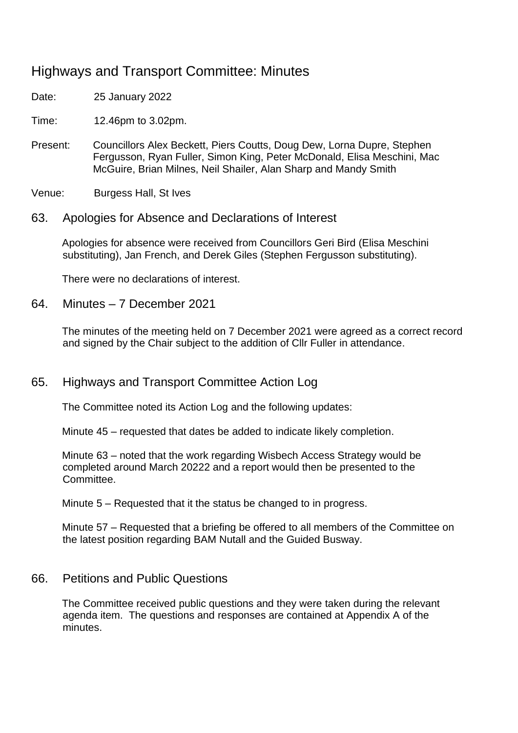# Highways and Transport Committee: Minutes

Date: 25 January 2022

Time: 12.46pm to 3.02pm.

Present: Councillors Alex Beckett, Piers Coutts, Doug Dew, Lorna Dupre, Stephen Fergusson, Ryan Fuller, Simon King, Peter McDonald, Elisa Meschini, Mac McGuire, Brian Milnes, Neil Shailer, Alan Sharp and Mandy Smith

Venue: Burgess Hall, St Ives

63. Apologies for Absence and Declarations of Interest

Apologies for absence were received from Councillors Geri Bird (Elisa Meschini substituting), Jan French, and Derek Giles (Stephen Fergusson substituting).

There were no declarations of interest.

#### 64. Minutes – 7 December 2021

The minutes of the meeting held on 7 December 2021 were agreed as a correct record and signed by the Chair subject to the addition of Cllr Fuller in attendance.

### 65. Highways and Transport Committee Action Log

The Committee noted its Action Log and the following updates:

Minute 45 – requested that dates be added to indicate likely completion.

Minute 63 – noted that the work regarding Wisbech Access Strategy would be completed around March 20222 and a report would then be presented to the Committee.

Minute 5 – Requested that it the status be changed to in progress.

Minute 57 – Requested that a briefing be offered to all members of the Committee on the latest position regarding BAM Nutall and the Guided Busway.

### 66. Petitions and Public Questions

The Committee received public questions and they were taken during the relevant agenda item. The questions and responses are contained at Appendix A of the minutes.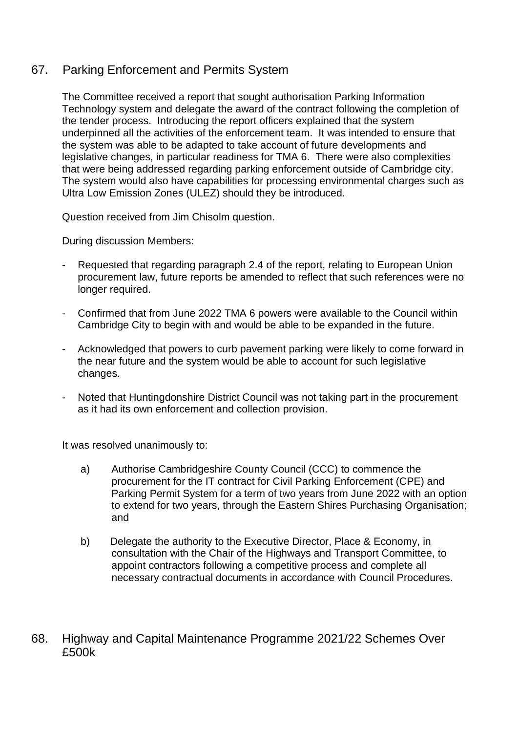## 67. Parking Enforcement and Permits System

The Committee received a report that sought authorisation Parking Information Technology system and delegate the award of the contract following the completion of the tender process. Introducing the report officers explained that the system underpinned all the activities of the enforcement team. It was intended to ensure that the system was able to be adapted to take account of future developments and legislative changes, in particular readiness for TMA 6. There were also complexities that were being addressed regarding parking enforcement outside of Cambridge city. The system would also have capabilities for processing environmental charges such as Ultra Low Emission Zones (ULEZ) should they be introduced.

Question received from Jim Chisolm question.

During discussion Members:

- Requested that regarding paragraph 2.4 of the report, relating to European Union procurement law, future reports be amended to reflect that such references were no longer required.
- Confirmed that from June 2022 TMA 6 powers were available to the Council within Cambridge City to begin with and would be able to be expanded in the future.
- Acknowledged that powers to curb pavement parking were likely to come forward in the near future and the system would be able to account for such legislative changes.
- Noted that Huntingdonshire District Council was not taking part in the procurement as it had its own enforcement and collection provision.

It was resolved unanimously to:

- a) Authorise Cambridgeshire County Council (CCC) to commence the procurement for the IT contract for Civil Parking Enforcement (CPE) and Parking Permit System for a term of two years from June 2022 with an option to extend for two years, through the Eastern Shires Purchasing Organisation; and
- b) Delegate the authority to the Executive Director, Place & Economy, in consultation with the Chair of the Highways and Transport Committee, to appoint contractors following a competitive process and complete all necessary contractual documents in accordance with Council Procedures.
- 68. Highway and Capital Maintenance Programme 2021/22 Schemes Over £500k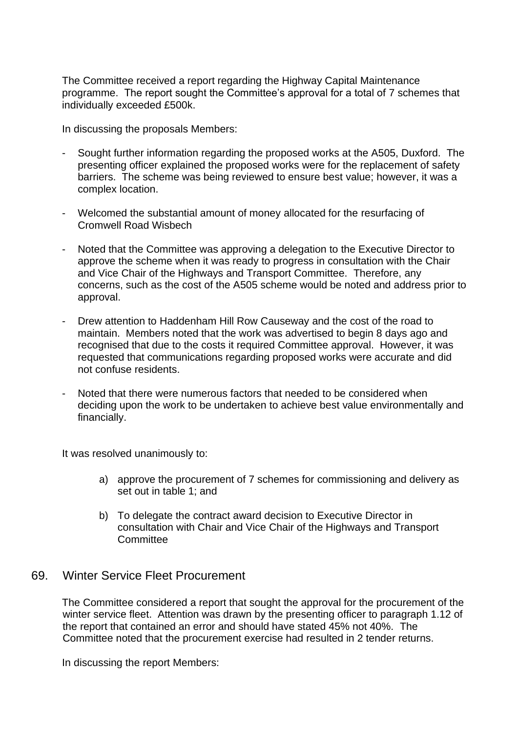The Committee received a report regarding the Highway Capital Maintenance programme. The report sought the Committee's approval for a total of 7 schemes that individually exceeded £500k.

In discussing the proposals Members:

- Sought further information regarding the proposed works at the A505, Duxford. The presenting officer explained the proposed works were for the replacement of safety barriers. The scheme was being reviewed to ensure best value; however, it was a complex location.
- Welcomed the substantial amount of money allocated for the resurfacing of Cromwell Road Wisbech
- Noted that the Committee was approving a delegation to the Executive Director to approve the scheme when it was ready to progress in consultation with the Chair and Vice Chair of the Highways and Transport Committee. Therefore, any concerns, such as the cost of the A505 scheme would be noted and address prior to approval.
- Drew attention to Haddenham Hill Row Causeway and the cost of the road to maintain. Members noted that the work was advertised to begin 8 days ago and recognised that due to the costs it required Committee approval. However, it was requested that communications regarding proposed works were accurate and did not confuse residents.
- Noted that there were numerous factors that needed to be considered when deciding upon the work to be undertaken to achieve best value environmentally and financially.

It was resolved unanimously to:

- a) approve the procurement of 7 schemes for commissioning and delivery as set out in table 1; and
- b) To delegate the contract award decision to Executive Director in consultation with Chair and Vice Chair of the Highways and Transport **Committee**

### 69. Winter Service Fleet Procurement

The Committee considered a report that sought the approval for the procurement of the winter service fleet. Attention was drawn by the presenting officer to paragraph 1.12 of the report that contained an error and should have stated 45% not 40%. The Committee noted that the procurement exercise had resulted in 2 tender returns.

In discussing the report Members: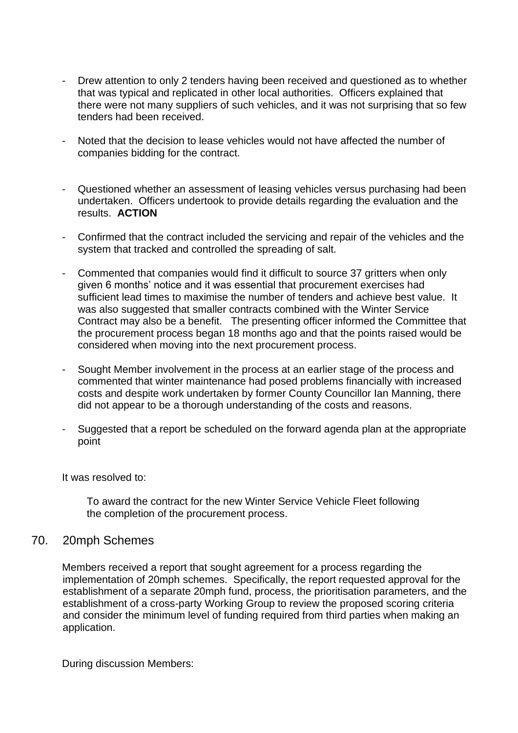- Drew attention to only 2 tenders having been received and questioned as to whether that was typical and replicated in other local authorities. Officers explained that there were not many suppliers of such vehicles, and it was not surprising that so few tenders had been received.
- Noted that the decision to lease vehicles would not have affected the number of companies bidding for the contract.
- Questioned whether an assessment of leasing vehicles versus purchasing had been undertaken. Officers undertook to provide details regarding the evaluation and the results. **ACTION**
- Confirmed that the contract included the servicing and repair of the vehicles and the system that tracked and controlled the spreading of salt.
- Commented that companies would find it difficult to source 37 gritters when only given 6 months' notice and it was essential that procurement exercises had sufficient lead times to maximise the number of tenders and achieve best value. It was also suggested that smaller contracts combined with the Winter Service Contract may also be a benefit. The presenting officer informed the Committee that the procurement process began 18 months ago and that the points raised would be considered when moving into the next procurement process.
- Sought Member involvement in the process at an earlier stage of the process and commented that winter maintenance had posed problems financially with increased costs and despite work undertaken by former County Councillor Ian Manning, there did not appear to be a thorough understanding of the costs and reasons.
- Suggested that a report be scheduled on the forward agenda plan at the appropriate point

It was resolved to:

To award the contract for the new Winter Service Vehicle Fleet following the completion of the procurement process.

#### 70. 20mph Schemes

Members received a report that sought agreement for a process regarding the implementation of 20mph schemes. Specifically, the report requested approval for the establishment of a separate 20mph fund, process, the prioritisation parameters, and the establishment of a cross-party Working Group to review the proposed scoring criteria and consider the minimum level of funding required from third parties when making an application.

During discussion Members: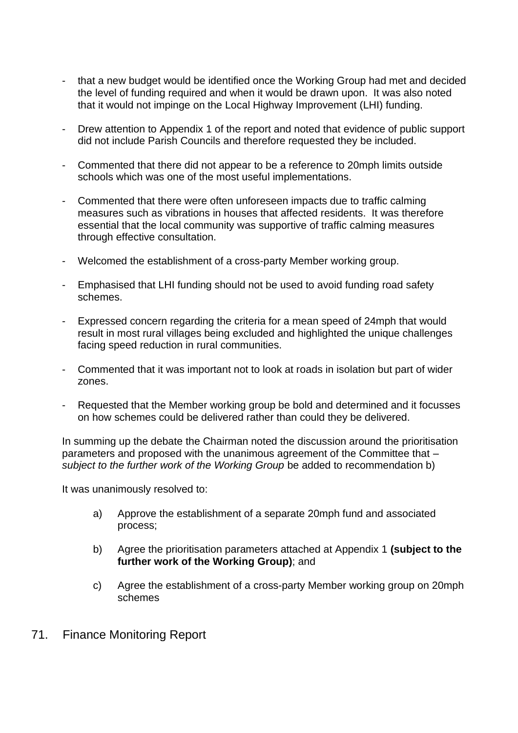- that a new budget would be identified once the Working Group had met and decided the level of funding required and when it would be drawn upon. It was also noted that it would not impinge on the Local Highway Improvement (LHI) funding.
- Drew attention to Appendix 1 of the report and noted that evidence of public support did not include Parish Councils and therefore requested they be included.
- Commented that there did not appear to be a reference to 20mph limits outside schools which was one of the most useful implementations.
- Commented that there were often unforeseen impacts due to traffic calming measures such as vibrations in houses that affected residents. It was therefore essential that the local community was supportive of traffic calming measures through effective consultation.
- Welcomed the establishment of a cross-party Member working group.
- Emphasised that LHI funding should not be used to avoid funding road safety schemes.
- Expressed concern regarding the criteria for a mean speed of 24mph that would result in most rural villages being excluded and highlighted the unique challenges facing speed reduction in rural communities.
- Commented that it was important not to look at roads in isolation but part of wider zones.
- Requested that the Member working group be bold and determined and it focusses on how schemes could be delivered rather than could they be delivered.

In summing up the debate the Chairman noted the discussion around the prioritisation parameters and proposed with the unanimous agreement of the Committee that – *subject to the further work of the Working Group* be added to recommendation b)

It was unanimously resolved to:

- a) Approve the establishment of a separate 20mph fund and associated process;
- b) Agree the prioritisation parameters attached at Appendix 1 **(subject to the further work of the Working Group)**; and
- c) Agree the establishment of a cross-party Member working group on 20mph schemes
- 71. Finance Monitoring Report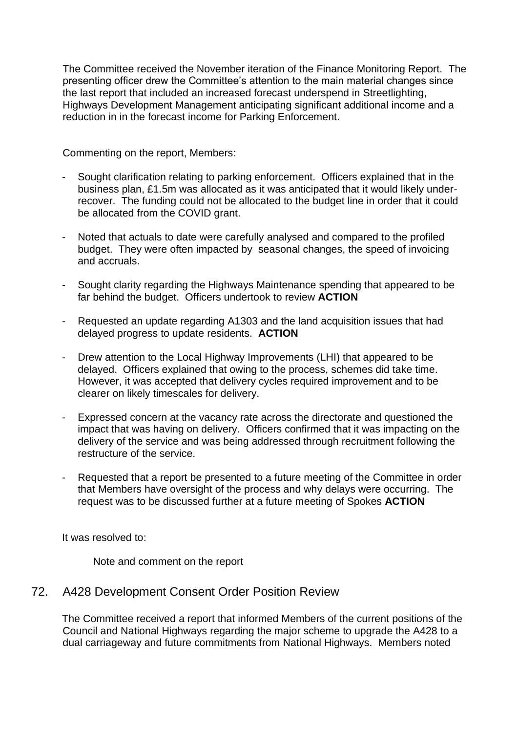The Committee received the November iteration of the Finance Monitoring Report. The presenting officer drew the Committee's attention to the main material changes since the last report that included an increased forecast underspend in Streetlighting, Highways Development Management anticipating significant additional income and a reduction in in the forecast income for Parking Enforcement.

Commenting on the report, Members:

- Sought clarification relating to parking enforcement. Officers explained that in the business plan, £1.5m was allocated as it was anticipated that it would likely underrecover. The funding could not be allocated to the budget line in order that it could be allocated from the COVID grant.
- Noted that actuals to date were carefully analysed and compared to the profiled budget. They were often impacted by seasonal changes, the speed of invoicing and accruals.
- Sought clarity regarding the Highways Maintenance spending that appeared to be far behind the budget. Officers undertook to review **ACTION**
- Requested an update regarding A1303 and the land acquisition issues that had delayed progress to update residents. **ACTION**
- Drew attention to the Local Highway Improvements (LHI) that appeared to be delayed. Officers explained that owing to the process, schemes did take time. However, it was accepted that delivery cycles required improvement and to be clearer on likely timescales for delivery.
- Expressed concern at the vacancy rate across the directorate and questioned the impact that was having on delivery. Officers confirmed that it was impacting on the delivery of the service and was being addressed through recruitment following the restructure of the service.
- Requested that a report be presented to a future meeting of the Committee in order that Members have oversight of the process and why delays were occurring. The request was to be discussed further at a future meeting of Spokes **ACTION**

It was resolved to:

Note and comment on the report

### 72. A428 Development Consent Order Position Review

The Committee received a report that informed Members of the current positions of the Council and National Highways regarding the major scheme to upgrade the A428 to a dual carriageway and future commitments from National Highways. Members noted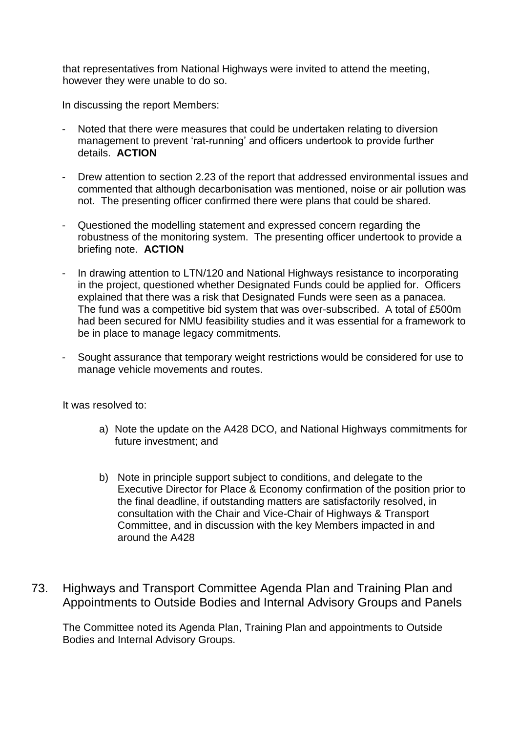that representatives from National Highways were invited to attend the meeting, however they were unable to do so.

In discussing the report Members:

- Noted that there were measures that could be undertaken relating to diversion management to prevent 'rat-running' and officers undertook to provide further details. **ACTION**
- Drew attention to section 2.23 of the report that addressed environmental issues and commented that although decarbonisation was mentioned, noise or air pollution was not. The presenting officer confirmed there were plans that could be shared.
- Questioned the modelling statement and expressed concern regarding the robustness of the monitoring system. The presenting officer undertook to provide a briefing note. **ACTION**
- In drawing attention to LTN/120 and National Highways resistance to incorporating in the project, questioned whether Designated Funds could be applied for. Officers explained that there was a risk that Designated Funds were seen as a panacea. The fund was a competitive bid system that was over-subscribed. A total of £500m had been secured for NMU feasibility studies and it was essential for a framework to be in place to manage legacy commitments.
- Sought assurance that temporary weight restrictions would be considered for use to manage vehicle movements and routes.

It was resolved to:

- a) Note the update on the A428 DCO, and National Highways commitments for future investment; and
- b) Note in principle support subject to conditions, and delegate to the Executive Director for Place & Economy confirmation of the position prior to the final deadline, if outstanding matters are satisfactorily resolved, in consultation with the Chair and Vice-Chair of Highways & Transport Committee, and in discussion with the key Members impacted in and around the A428
- 73. Highways and Transport Committee Agenda Plan and Training Plan and Appointments to Outside Bodies and Internal Advisory Groups and Panels

The Committee noted its Agenda Plan, Training Plan and appointments to Outside Bodies and Internal Advisory Groups.